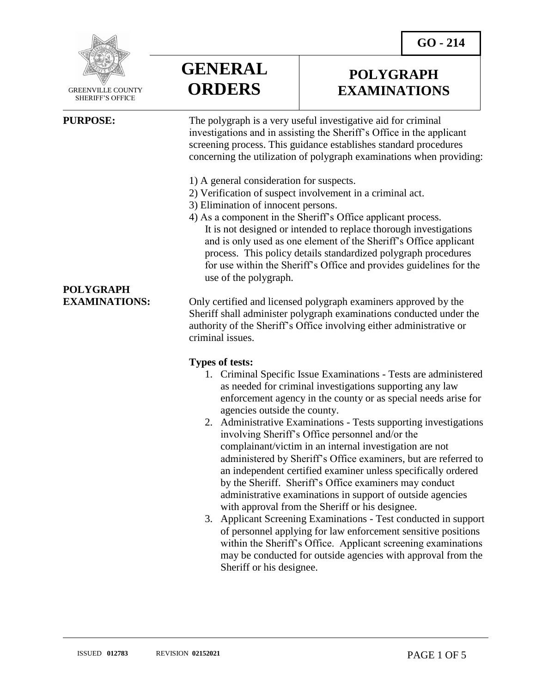**POLYGRAPH EXAMINATIONS**



 GREENVILLE COUNTY SHERIFF'S OFFICE

 $\overline{a}$ 

# **GENERAL ORDERS**

**PURPOSE:** The polygraph is a very useful investigative aid for criminal investigations and in assisting the Sheriff's Office in the applicant screening process. This guidance establishes standard procedures concerning the utilization of polygraph examinations when providing:

- 1) A general consideration for suspects.
- 2) Verification of suspect involvement in a criminal act.
- 3) Elimination of innocent persons.
- 4) As a component in the Sheriff's Office applicant process. It is not designed or intended to replace thorough investigations and is only used as one element of the Sheriff's Office applicant process. This policy details standardized polygraph procedures for use within the Sheriff's Office and provides guidelines for the use of the polygraph.

**EXAMINATIONS:** Only certified and licensed polygraph examiners approved by the Sheriff shall administer polygraph examinations conducted under the authority of the Sheriff's Office involving either administrative or criminal issues.

#### **Types of tests:**

- 1. Criminal Specific Issue Examinations Tests are administered as needed for criminal investigations supporting any law enforcement agency in the county or as special needs arise for agencies outside the county.
- 2. Administrative Examinations Tests supporting investigations involving Sheriff's Office personnel and/or the complainant/victim in an internal investigation are not administered by Sheriff's Office examiners, but are referred to an independent certified examiner unless specifically ordered by the Sheriff. Sheriff's Office examiners may conduct administrative examinations in support of outside agencies with approval from the Sheriff or his designee.
- 3. Applicant Screening Examinations Test conducted in support of personnel applying for law enforcement sensitive positions within the Sheriff's Office. Applicant screening examinations may be conducted for outside agencies with approval from the Sheriff or his designee.

**POLYGRAPH**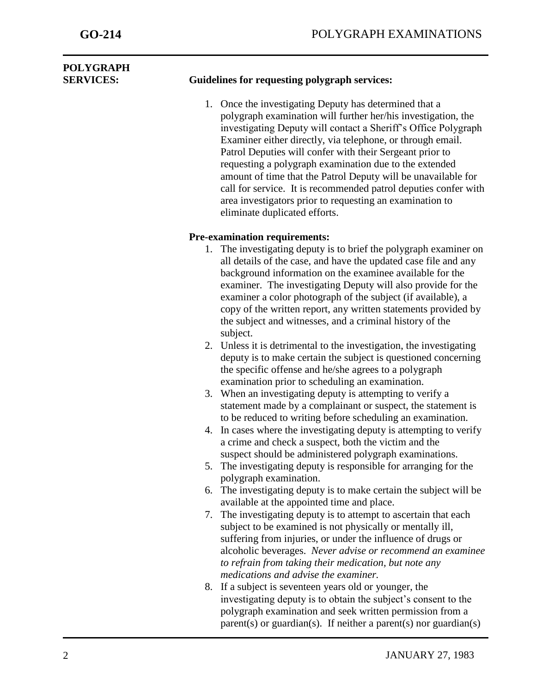| <b>POLYGRAPH</b><br><b>SERVICES:</b> | <b>Guidelines for requesting polygraph services:</b>                                                                                                                                                                                                                                                                                                                                                                                                                                                                                                                                                                                                                                                                                                                                                                                                                                                                                                                                                                                                     |
|--------------------------------------|----------------------------------------------------------------------------------------------------------------------------------------------------------------------------------------------------------------------------------------------------------------------------------------------------------------------------------------------------------------------------------------------------------------------------------------------------------------------------------------------------------------------------------------------------------------------------------------------------------------------------------------------------------------------------------------------------------------------------------------------------------------------------------------------------------------------------------------------------------------------------------------------------------------------------------------------------------------------------------------------------------------------------------------------------------|
|                                      | 1. Once the investigating Deputy has determined that a<br>polygraph examination will further her/his investigation, the<br>investigating Deputy will contact a Sheriff's Office Polygraph<br>Examiner either directly, via telephone, or through email.<br>Patrol Deputies will confer with their Sergeant prior to<br>requesting a polygraph examination due to the extended<br>amount of time that the Patrol Deputy will be unavailable for<br>call for service. It is recommended patrol deputies confer with<br>area investigators prior to requesting an examination to<br>eliminate duplicated efforts.                                                                                                                                                                                                                                                                                                                                                                                                                                           |
|                                      | <b>Pre-examination requirements:</b>                                                                                                                                                                                                                                                                                                                                                                                                                                                                                                                                                                                                                                                                                                                                                                                                                                                                                                                                                                                                                     |
|                                      | 1. The investigating deputy is to brief the polygraph examiner on<br>all details of the case, and have the updated case file and any<br>background information on the examinee available for the<br>examiner. The investigating Deputy will also provide for the<br>examiner a color photograph of the subject (if available), a<br>copy of the written report, any written statements provided by<br>the subject and witnesses, and a criminal history of the<br>subject.<br>2. Unless it is detrimental to the investigation, the investigating<br>deputy is to make certain the subject is questioned concerning<br>the specific offense and he/she agrees to a polygraph<br>examination prior to scheduling an examination.<br>3. When an investigating deputy is attempting to verify a<br>statement made by a complainant or suspect, the statement is<br>to be reduced to writing before scheduling an examination.<br>4. In cases where the investigating deputy is attempting to verify<br>a crime and check a suspect, both the victim and the |
|                                      | suspect should be administered polygraph examinations.<br>5. The investigating deputy is responsible for arranging for the                                                                                                                                                                                                                                                                                                                                                                                                                                                                                                                                                                                                                                                                                                                                                                                                                                                                                                                               |
|                                      | polygraph examination.<br>6. The investigating deputy is to make certain the subject will be<br>available at the appointed time and place.                                                                                                                                                                                                                                                                                                                                                                                                                                                                                                                                                                                                                                                                                                                                                                                                                                                                                                               |
|                                      | 7. The investigating deputy is to attempt to ascertain that each<br>subject to be examined is not physically or mentally ill,<br>suffering from injuries, or under the influence of drugs or<br>alcoholic beverages. Never advise or recommend an examinee<br>to refrain from taking their medication, but note any<br>medications and advise the examiner.                                                                                                                                                                                                                                                                                                                                                                                                                                                                                                                                                                                                                                                                                              |
|                                      | 8. If a subject is seventeen years old or younger, the<br>investigating deputy is to obtain the subject's consent to the<br>polygraph examination and seek written permission from a                                                                                                                                                                                                                                                                                                                                                                                                                                                                                                                                                                                                                                                                                                                                                                                                                                                                     |

 $parent(s)$  or guardian(s). If neither a parent(s) nor guardian(s)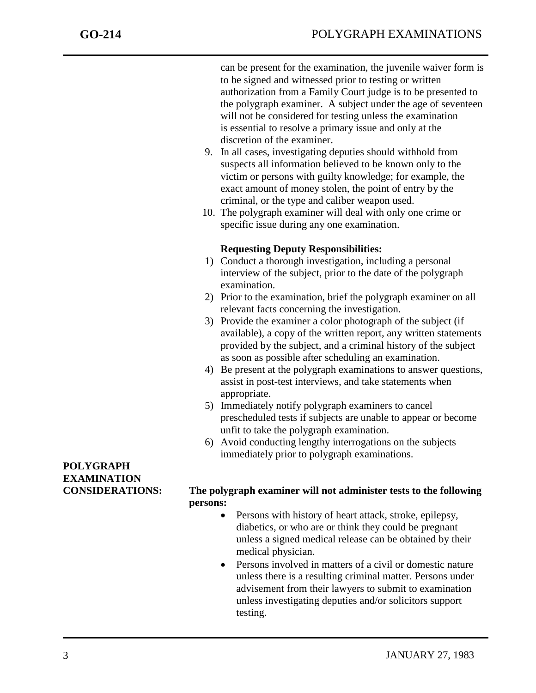can be present for the examination, the juvenile waiver form is to be signed and witnessed prior to testing or written authorization from a Family Court judge is to be presented to the polygraph examiner. A subject under the age of seventeen will not be considered for testing unless the examination is essential to resolve a primary issue and only at the discretion of the examiner.

- 9. In all cases, investigating deputies should withhold from suspects all information believed to be known only to the victim or persons with guilty knowledge; for example, the exact amount of money stolen, the point of entry by the criminal, or the type and caliber weapon used.
- 10. The polygraph examiner will deal with only one crime or specific issue during any one examination.

#### **Requesting Deputy Responsibilities:**

- 1) Conduct a thorough investigation, including a personal interview of the subject, prior to the date of the polygraph examination.
- 2) Prior to the examination, brief the polygraph examiner on all relevant facts concerning the investigation.
- 3) Provide the examiner a color photograph of the subject (if available), a copy of the written report, any written statements provided by the subject, and a criminal history of the subject as soon as possible after scheduling an examination.
- 4) Be present at the polygraph examinations to answer questions, assist in post-test interviews, and take statements when appropriate.
- 5) Immediately notify polygraph examiners to cancel prescheduled tests if subjects are unable to appear or become unfit to take the polygraph examination.
- 6) Avoid conducting lengthy interrogations on the subjects immediately prior to polygraph examinations.

## **POLYGRAPH EXAMINATION**

### **CONSIDERATIONS: The polygraph examiner will not administer tests to the following persons:**

- Persons with history of heart attack, stroke, epilepsy, diabetics, or who are or think they could be pregnant unless a signed medical release can be obtained by their medical physician.
- Persons involved in matters of a civil or domestic nature unless there is a resulting criminal matter. Persons under advisement from their lawyers to submit to examination unless investigating deputies and/or solicitors support testing.

j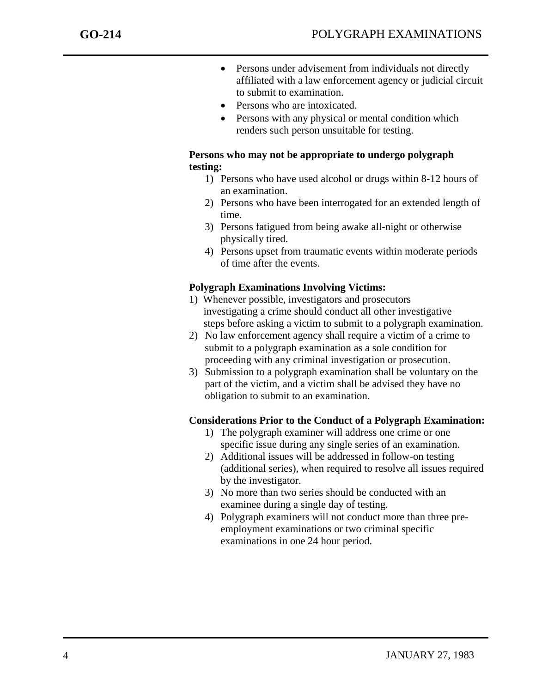j

- Persons under advisement from individuals not directly affiliated with a law enforcement agency or judicial circuit to submit to examination.
- Persons who are intoxicated.
- Persons with any physical or mental condition which renders such person unsuitable for testing.

#### **Persons who may not be appropriate to undergo polygraph testing:**

- 1) Persons who have used alcohol or drugs within 8-12 hours of an examination.
- 2) Persons who have been interrogated for an extended length of time.
- 3) Persons fatigued from being awake all-night or otherwise physically tired.
- 4) Persons upset from traumatic events within moderate periods of time after the events.

### **Polygraph Examinations Involving Victims:**

- 1) Whenever possible, investigators and prosecutors investigating a crime should conduct all other investigative steps before asking a victim to submit to a polygraph examination.
- 2) No law enforcement agency shall require a victim of a crime to submit to a polygraph examination as a sole condition for proceeding with any criminal investigation or prosecution.
- 3) Submission to a polygraph examination shall be voluntary on the part of the victim, and a victim shall be advised they have no obligation to submit to an examination.

#### **Considerations Prior to the Conduct of a Polygraph Examination:**

- 1) The polygraph examiner will address one crime or one specific issue during any single series of an examination.
- 2) Additional issues will be addressed in follow-on testing (additional series), when required to resolve all issues required by the investigator.
- 3) No more than two series should be conducted with an examinee during a single day of testing.
- 4) Polygraph examiners will not conduct more than three preemployment examinations or two criminal specific examinations in one 24 hour period.